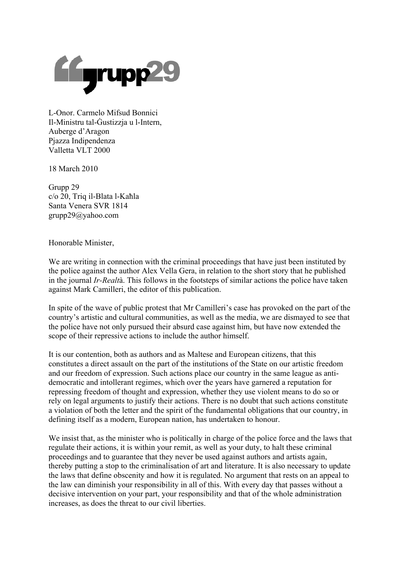

L-Onor. Carmelo Mifsud Bonnici Il-Ministru tal-Ġustizzja u l-Intern, Auberge d'Aragon Pjazza Indipendenza Valletta VLT 2000

18 March 2010

Grupp 29 c/o 20, Triq il-Blata l-Kaħla Santa Venera SVR 1814 grupp29@yahoo.com

Honorable Minister,

We are writing in connection with the criminal proceedings that have just been instituted by the police against the author Alex Vella Gera, in relation to the short story that he published in the journal *Ir-Realt*à. This follows in the footsteps of similar actions the police have taken against Mark Camilleri, the editor of this publication.

In spite of the wave of public protest that Mr Camilleri's case has provoked on the part of the country's artistic and cultural communities, as well as the media, we are dismayed to see that the police have not only pursued their absurd case against him, but have now extended the scope of their repressive actions to include the author himself.

It is our contention, both as authors and as Maltese and European citizens, that this constitutes a direct assault on the part of the institutions of the State on our artistic freedom and our freedom of expression. Such actions place our country in the same league as antidemocratic and intollerant regimes, which over the years have garnered a reputation for repressing freedom of thought and expression, whether they use violent means to do so or rely on legal arguments to justify their actions. There is no doubt that such actions constitute a violation of both the letter and the spirit of the fundamental obligations that our country, in defining itself as a modern, European nation, has undertaken to honour.

We insist that, as the minister who is politically in charge of the police force and the laws that regulate their actions, it is within your remit, as well as your duty, to halt these criminal proceedings and to guarantee that they never be used against authors and artists again, thereby putting a stop to the criminalisation of art and literature. It is also necessary to update the laws that define obscenity and how it is regulated. No argument that rests on an appeal to the law can diminish your responsibility in all of this. With every day that passes without a decisive intervention on your part, your responsibility and that of the whole administration increases, as does the threat to our civil liberties.